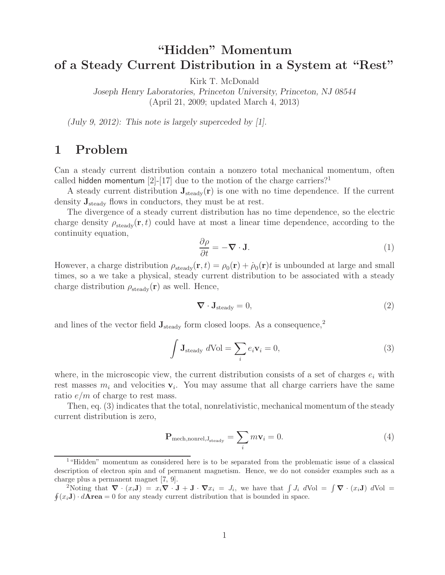# **"Hidden" Momentum of a Steady Current Distribution in a System at "Rest"**

Kirk T. McDonald

*Joseph Henry Laboratories, Princeton University, Princeton, NJ 08544* (April 21, 2009; updated March 4, 2013)

*(July 9, 2012): This note is largely superceded by [1].*

## **1 Problem**

Can a steady current distribution contain a nonzero total mechanical momentum, often called hidden momentum  $[2]-[17]$  due to the motion of the charge carriers?<sup>1</sup>

A steady current distribution  $J_{\text{steady}}(r)$  is one with no time dependence. If the current density **J**steady flows in conductors, they must be at rest.

The divergence of a steady current distribution has no time dependence, so the electric charge density  $\rho_{\text{steady}}(\mathbf{r}, t)$  could have at most a linear time dependence, according to the continuity equation,

$$
\frac{\partial \rho}{\partial t} = -\nabla \cdot \mathbf{J}.\tag{1}
$$

However, a charge distribution  $\rho_{\text{steady}}(\mathbf{r}, t) = \rho_0(\mathbf{r}) + \dot{\rho}_0(\mathbf{r})t$  is unbounded at large and small times, so a we take a physical, steady current distribution to be associated with a steady charge distribution  $\rho_{\text{steady}}(\mathbf{r})$  as well. Hence,

$$
\nabla \cdot \mathbf{J}_{\text{steady}} = 0,\tag{2}
$$

and lines of the vector field  $J_{\text{steady}}$  form closed loops. As a consequence,<sup>2</sup>

$$
\int \mathbf{J}_{\text{steady}} d\text{Vol} = \sum_{i} e_i \mathbf{v}_i = 0,
$$
\n(3)

where, in the microscopic view, the current distribution consists of a set of charges  $e_i$  with rest masses  $m_i$  and velocities  $v_i$ . You may assume that all charge carriers have the same ratio  $e/m$  of charge to rest mass.

Then, eq. (3) indicates that the total, nonrelativistic, mechanical momentum of the steady current distribution is zero,

$$
\mathbf{P}_{\text{mech},\text{nonrel},\mathbf{J}_{\text{steady}}} = \sum_{i} m\mathbf{v}_{i} = 0. \tag{4}
$$

<sup>&</sup>lt;sup>1</sup>"Hidden" momentum as considered here is to be separated from the problematic issue of a classical description of electron spin and of permanent magnetism. Hence, we do not consider examples such as a charge plus a permanent magnet [7, 9].

<sup>&</sup>lt;sup>2</sup>Noting that  $\nabla \cdot (x_i \mathbf{J}) = x_i \nabla \cdot \mathbf{J} + \mathbf{J} \cdot \nabla x_i = J_i$ , we have that  $\int J_i dVol = \int \nabla \cdot (x_i \mathbf{J}) dVol =$  $\oint (x_i \mathbf{J}) \cdot d\mathbf{Area} = 0$  for any steady current distribution that is bounded in space.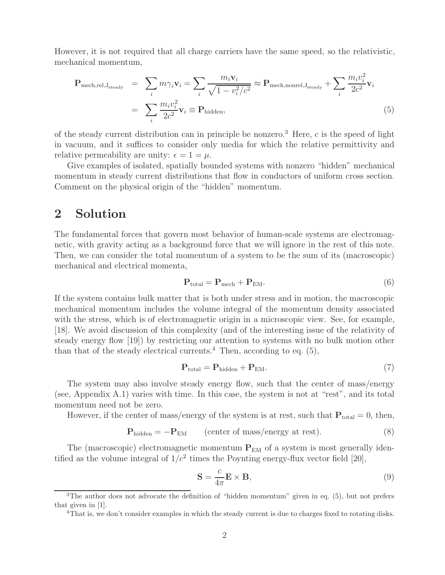However, it is not required that all charge carriers have the same speed, so the relativistic, mechanical momentum,

$$
\mathbf{P}_{\text{mech,rel},\mathbf{J}_{\text{steady}}} = \sum_{i} m \gamma_{i} \mathbf{v}_{i} = \sum_{i} \frac{m_{i} \mathbf{v}_{i}}{\sqrt{1 - v_{i}^{2}/c^{2}}} \approx \mathbf{P}_{\text{mech,nonrel},\mathbf{J}_{\text{steady}}} + \sum_{i} \frac{m_{i} v_{i}^{2}}{2c^{2}} \mathbf{v}_{i}
$$
\n
$$
= \sum_{i} \frac{m_{i} v_{i}^{2}}{2c^{2}} \mathbf{v}_{i} \equiv \mathbf{P}_{\text{hidden}}, \tag{5}
$$

of the steady current distribution can in principle be nonzero.<sup>3</sup> Here,  $c$  is the speed of light in vacuum, and it suffices to consider only media for which the relative permittivity and relative permeability are unity:  $\epsilon = 1 = \mu$ .

Give examples of isolated, spatially bounded systems with nonzero "hidden" mechanical momentum in steady current distributions that flow in conductors of uniform cross section. Comment on the physical origin of the "hidden" momentum.

### **2 Solution**

The fundamental forces that govern most behavior of human-scale systems are electromagnetic, with gravity acting as a background force that we will ignore in the rest of this note. Then, we can consider the total momentum of a system to be the sum of its (macroscopic) mechanical and electrical momenta,

$$
\mathbf{P}_{\text{total}} = \mathbf{P}_{\text{mech}} + \mathbf{P}_{\text{EM}}.\tag{6}
$$

If the system contains bulk matter that is both under stress and in motion, the macroscopic mechanical momentum includes the volume integral of the momentum density associated with the stress, which is of electromagnetic origin in a microscopic view. See, for example, [18]. We avoid discussion of this complexity (and of the interesting issue of the relativity of steady energy flow [19]) by restricting our attention to systems with no bulk motion other than that of the steady electrical currents.<sup>4</sup> Then, according to eq.  $(5)$ ,

$$
\mathbf{P}_{\text{total}} = \mathbf{P}_{\text{hidden}} + \mathbf{P}_{\text{EM}}.\tag{7}
$$

The system may also involve steady energy flow, such that the center of mass/energy (see, Appendix A.1) varies with time. In this case, the system is not at "rest", and its total momentum need not be zero.

However, if the center of mass/energy of the system is at rest, such that  $P_{total} = 0$ , then,

$$
\mathbf{P}_{\text{hidden}} = -\mathbf{P}_{\text{EM}} \qquad \text{(center of mass/energy at rest)}.
$$
 (8)

The (macroscopic) electromagnetic momentum  $P_{EM}$  of a system is most generally identified as the volume integral of  $1/c^2$  times the Poynting energy-flux vector field [20],

$$
\mathbf{S} = \frac{c}{4\pi} \mathbf{E} \times \mathbf{B},\tag{9}
$$

<sup>&</sup>lt;sup>3</sup>The author does not advocate the definition of "hidden momentum" given in eq.  $(5)$ , but not prefers that given in [1].

<sup>&</sup>lt;sup>4</sup>That is, we don't consider examples in which the steady current is due to charges fixed to rotating disks.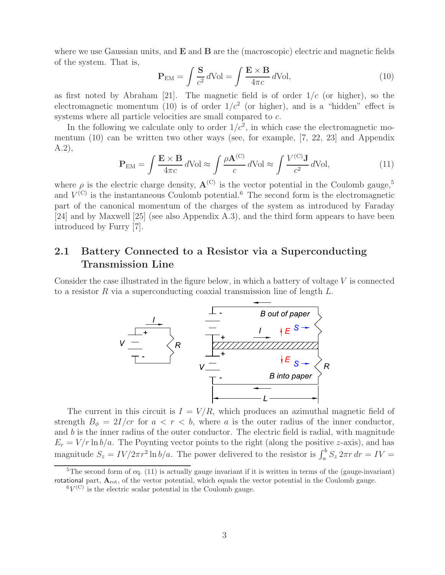where we use Gaussian units, and **E** and **B** are the (macroscopic) electric and magnetic fields of the system. That is,

$$
\mathbf{P}_{\text{EM}} = \int \frac{\mathbf{S}}{c^2} d\text{Vol} = \int \frac{\mathbf{E} \times \mathbf{B}}{4\pi c} d\text{Vol},\tag{10}
$$

as first noted by Abraham [21]. The magnetic field is of order  $1/c$  (or higher), so the electromagnetic momentum (10) is of order  $1/c^2$  (or higher), and is a "hidden" effect is systems where all particle velocities are small compared to c.

In the following we calculate only to order  $1/c^2$ , in which case the electromagnetic momentum (10) can be written two other ways (see, for example, [7, 22, 23] and Appendix A.2),

$$
\mathbf{P}_{\text{EM}} = \int \frac{\mathbf{E} \times \mathbf{B}}{4\pi c} d\text{Vol} \approx \int \frac{\rho \mathbf{A}^{(\text{C})}}{c} d\text{Vol} \approx \int \frac{V^{(\text{C})} \mathbf{J}}{c^2} d\text{Vol},\tag{11}
$$

where  $\rho$  is the electric charge density,  $\mathbf{A}^{(C)}$  is the vector potential in the Coulomb gauge,<sup>5</sup> and  $V^{(C)}$  is the instantaneous Coulomb potential.<sup>6</sup> The second form is the electromagnetic part of the canonical momentum of the charges of the system as introduced by Faraday [24] and by Maxwell [25] (see also Appendix A.3), and the third form appears to have been introduced by Furry [7].

### **2.1 Battery Connected to a Resistor via a Superconducting Transmission Line**

Consider the case illustrated in the figure below, in which a battery of voltage  $V$  is connected to a resistor R via a superconducting coaxial transmission line of length  $L$ .



The current in this circuit is  $I = V/R$ , which produces an azimuthal magnetic field of strength  $B_{\phi} = 2I/cr$  for  $a < r < b$ , where a is the outer radius of the inner conductor, and  $b$  is the inner radius of the outer conductor. The electric field is radial, with magnitude  $E_r = V/r \ln b/a$ . The Poynting vector points to the right (along the positive z-axis), and has magnitude  $S_z = IV/2\pi r^2 \ln b/a$ . The power delivered to the resistor is  $\int_a^b S_z 2\pi r dr = IV =$ 

 ${}^{5}$ The second form of eq. (11) is actually gauge invariant if it is written in terms of the (gauge-invariant) rotational part,  $A_{\text{rot}}$ , of the vector potential, which equals the vector potential in the Coulomb gauge.

 ${}^6V^{\textrm{(C)}}$  is the electric scalar potential in the Coulomb gauge.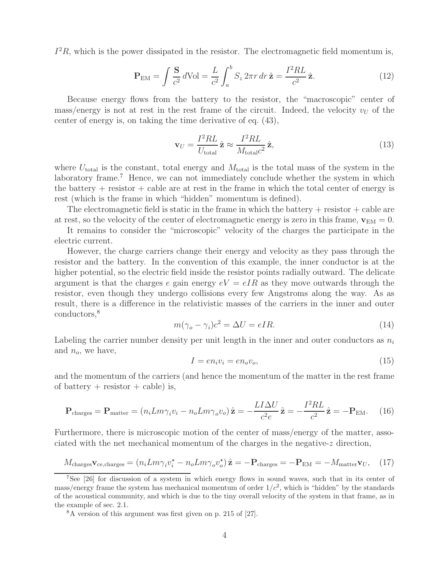$I^2R$ , which is the power dissipated in the resistor. The electromagnetic field momentum is,

$$
\mathbf{P}_{\text{EM}} = \int \frac{\mathbf{S}}{c^2} d\text{Vol} = \frac{L}{c^2} \int_a^b S_z 2\pi r \, dr \, \hat{\mathbf{z}} = \frac{I^2 R L}{c^2} \hat{\mathbf{z}}.
$$
 (12)

Because energy flows from the battery to the resistor, the "macroscopic" center of mass/energy is not at rest in the rest frame of the circuit. Indeed, the velocity  $v_U$  of the center of energy is, on taking the time derivative of eq. (43),

$$
\mathbf{v}_U = \frac{I^2 R L}{U_{\text{total}}} \hat{\mathbf{z}} \approx \frac{I^2 R L}{M_{\text{total}} c^2} \hat{\mathbf{z}},\tag{13}
$$

where  $U_{total}$  is the constant, total energy and  $M_{total}$  is the total mass of the system in the laboratory frame.<sup>7</sup> Hence, we can not immediately conclude whether the system in which the battery  $+$  resistor  $+$  cable are at rest in the frame in which the total center of energy is rest (which is the frame in which "hidden" momentum is defined).

The electromagnetic field is static in the frame in which the battery  $+$  resistor  $+$  cable are at rest, so the velocity of the center of electromagnetic energy is zero in this frame,  $\mathbf{v}_{EM} = 0$ .

It remains to consider the "microscopic" velocity of the charges the participate in the electric current.

However, the charge carriers change their energy and velocity as they pass through the resistor and the battery. In the convention of this example, the inner conductor is at the higher potential, so the electric field inside the resistor points radially outward. The delicate argument is that the charges e gain energy  $eV = eIR$  as they move outwards through the resistor, even though they undergo collisions every few Angstroms along the way. As as result, there is a difference in the relativistic masses of the carriers in the inner and outer conductors,<sup>8</sup>

$$
m(\gamma_o - \gamma_i)c^2 = \Delta U = eIR.
$$
\n(14)

Labeling the carrier number density per unit length in the inner and outer conductors as  $n_i$ and  $n_o$ , we have,

$$
I = en_i v_i = en_o v_o,\t\t(15)
$$

and the momentum of the carriers (and hence the momentum of the matter in the rest frame of battery  $+$  resistor  $+$  cable) is,

$$
\mathbf{P}_{\text{charges}} = \mathbf{P}_{\text{matter}} = (n_i L m \gamma_i v_i - n_o L m \gamma_o v_o) \hat{\mathbf{z}} = -\frac{L I \Delta U}{c^2 e} \hat{\mathbf{z}} = -\frac{I^2 R L}{c^2} \hat{\mathbf{z}} = -\mathbf{P}_{\text{EM}}.
$$
 (16)

Furthermore, there is microscopic motion of the center of mass/energy of the matter, associated with the net mechanical momentum of the charges in the negative-z direction,

$$
M_{\text{charges}} \mathbf{v}_{\text{ce,charges}} = (n_i L m \gamma_i v_i^* - n_o L m \gamma_o v_o^*) \hat{\mathbf{z}} = -\mathbf{P}_{\text{charges}} = -\mathbf{P}_{\text{EM}} = -M_{\text{matter}} \mathbf{v}_U, \quad (17)
$$

<sup>7</sup>See [26] for discussion of a system in which energy flows in sound waves, such that in its center of mass/energy frame the system has mechanical momentum of order  $1/c^2$ , which is "hidden" by the standards of the acoustical community, and which is due to the tiny overall velocity of the system in that frame, as in the example of sec. 2.1.

<sup>8</sup>A version of this argument was first given on p. 215 of [27].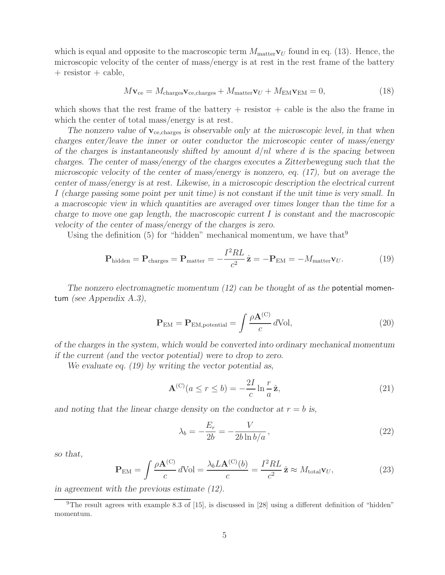which is equal and opposite to the macroscopic term  $M_{\text{matter}}$  $\mathbf{v}_U$  found in eq. (13). Hence, the microscopic velocity of the center of mass/energy is at rest in the rest frame of the battery  $+$  resistor  $+$  cable,

$$
M\mathbf{v}_{ce} = M_{\text{charges}}\mathbf{v}_{ce,\text{charges}} + M_{\text{matter}}\mathbf{v}_U + M_{\text{EM}}\mathbf{v}_{\text{EM}} = 0, \tag{18}
$$

which shows that the rest frame of the battery  $+$  resistor  $+$  cable is the also the frame in which the center of total mass/energy is at rest.

The nonzero value of  $\mathbf{v}_{ce, charges}$  *is observable only at the microscopic level, in that when charges enter/leave the inner or outer conductor the microscopic center of mass/energy of the charges is instantaneously shifted by amount* d/nl *where* d *is the spacing between charges. The center of mass/energy of the charges executes a Zitterbewegung such that the microscopic velocity of the center of mass/energy is nonzero, eq. (17), but on average the center of mass/energy is at rest. Likewise, in a microscopic description the electrical current* I *(charge passing some point per unit time) is not constant if the unit time is very small. In a macroscopic view in which quantities are averaged over times longer than the time for a charge to move one gap length, the macroscopic current* I *is constant and the macroscopic velocity of the center of mass/energy of the charges is zero.*

Using the definition  $(5)$  for "hidden" mechanical momentum, we have that  $9$ 

$$
\mathbf{P}_{\text{hidden}} = \mathbf{P}_{\text{charges}} = \mathbf{P}_{\text{matter}} = -\frac{I^2 R L}{c^2} \hat{\mathbf{z}} = -\mathbf{P}_{\text{EM}} = -M_{\text{matter}} \mathbf{v}_U. \tag{19}
$$

*The nonzero electromagnetic momentum (12) can be thought of as the* potential momentum *(see Appendix A.3),*

$$
\mathbf{P}_{\text{EM}} = \mathbf{P}_{\text{EM,potential}} = \int \frac{\rho \mathbf{A}^{(\text{C})}}{c} d\text{Vol},\tag{20}
$$

*of the charges in the system, which would be converted into ordinary mechanical momentum if the current (and the vector potential) were to drop to zero.*

*We evaluate eq. (19) by writing the vector potential as,*

$$
\mathbf{A}^{(C)}(a \le r \le b) = -\frac{2I}{c} \ln \frac{r}{a} \hat{\mathbf{z}},\tag{21}
$$

and noting that the linear charge density on the conductor at  $r = b$  is,

$$
\lambda_b = -\frac{E_r}{2b} = -\frac{V}{2b \ln b/a},\tag{22}
$$

*so that,*

$$
\mathbf{P}_{\text{EM}} = \int \frac{\rho \mathbf{A}^{(\text{C})}}{c} d\text{Vol} = \frac{\lambda_b L \mathbf{A}^{(\text{C})}(b)}{c} = \frac{I^2 R L}{c^2} \hat{\mathbf{z}} \approx M_{\text{total}} \mathbf{v}_U, \tag{23}
$$

*in agreement with the previous estimate (12).*

<sup>&</sup>lt;sup>9</sup>The result agrees with example 8.3 of [15], is discussed in [28] using a different definition of "hidden" momentum.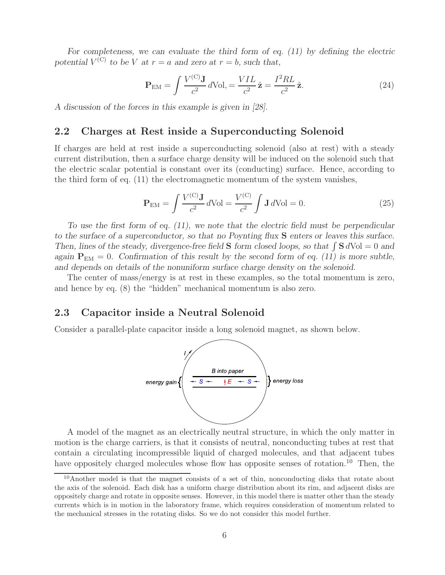For completeness, we can evaluate the third form of eq. (11) by defining the electric *potential*  $V^{(C)}$  *to be* V *at*  $r = a$  *and zero at*  $r = b$ *, such that,* 

$$
\mathbf{P}_{\text{EM}} = \int \frac{V^{(C)} \mathbf{J}}{c^2} d\text{Vol}, = \frac{VIL}{c^2} \hat{\mathbf{z}} = \frac{I^2 R L}{c^2} \hat{\mathbf{z}}.
$$
 (24)

*A discussion of the forces in this example is given in [28].*

#### **2.2 Charges at Rest inside a Superconducting Solenoid**

If charges are held at rest inside a superconducting solenoid (also at rest) with a steady current distribution, then a surface charge density will be induced on the solenoid such that the electric scalar potential is constant over its (conducting) surface. Hence, according to the third form of eq. (11) the electromagnetic momentum of the system vanishes,

$$
\mathbf{P}_{EM} = \int \frac{V^{(C)} \mathbf{J}}{c^2} d\text{Vol} = \frac{V^{(C)}}{c^2} \int \mathbf{J} d\text{Vol} = 0.
$$
 (25)

*To use the first form of eq. (11), we note that the electric field must be perpendicular to the surface of a superconductor, so that no Poynting flux* **S** *enters or leaves this surface. Then, lines of the steady, divergence-free field* **S** *form closed loops, so that*  $\int$  **S**  $dVol = 0$  *and again*  $P_{EM} = 0$ . Confirmation of this result by the second form of eq. (11) is more subtle, *and depends on details of the nonuniform surface charge density on the solenoid.*

The center of mass/energy is at rest in these examples, so the total momentum is zero, and hence by eq. (8) the "hidden" mechanical momentum is also zero.

#### **2.3 Capacitor inside a Neutral Solenoid**

Consider a parallel-plate capacitor inside a long solenoid magnet, as shown below.



A model of the magnet as an electrically neutral structure, in which the only matter in motion is the charge carriers, is that it consists of neutral, nonconducting tubes at rest that contain a circulating incompressible liquid of charged molecules, and that adjacent tubes have oppositely charged molecules whose flow has opposite senses of rotation.<sup>10</sup> Then, the

 $10$ Another model is that the magnet consists of a set of thin, nonconducting disks that rotate about the axis of the solenoid. Each disk has a uniform charge distribution about its rim, and adjacent disks are oppositely charge and rotate in opposite senses. However, in this model there is matter other than the steady currents which is in motion in the laboratory frame, which requires consideration of momentum related to the mechanical stresses in the rotating disks. So we do not consider this model further.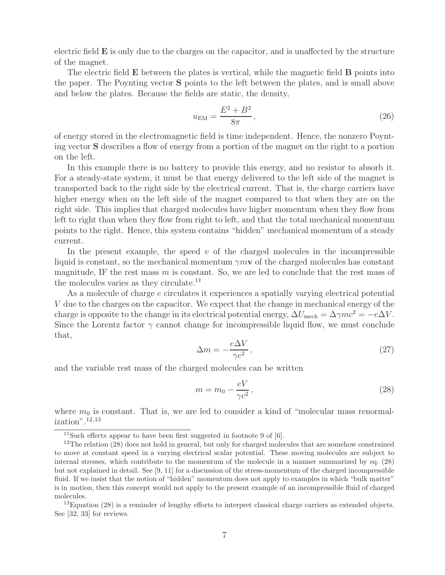electric field **E** is only due to the charges on the capacitor, and is unaffected by the structure of the magnet.

The electric field **E** between the plates is vertical, while the magnetic field **B** points into the paper. The Poynting vector **S** points to the left between the plates, and is small above and below the plates. Because the fields are static, the density,

$$
u_{\rm EM} = \frac{E^2 + B^2}{8\pi},\tag{26}
$$

of energy stored in the electromagnetic field is time independent. Hence, the nonzero Poynting vector **S** describes a flow of energy from a portion of the magnet on the right to a portion on the left.

In this example there is no battery to provide this energy, and no resistor to absorb it. For a steady-state system, it must be that energy delivered to the left side of the magnet is transported back to the right side by the electrical current. That is, the charge carriers have higher energy when on the left side of the magnet compared to that when they are on the right side. This implies that charged molecules have higher momentum when they flow from left to right than when they flow from right to left, and that the total mechanical momentum points to the right. Hence, this system contains "hidden" mechanical momentum of a steady current.

In the present example, the speed  $v$  of the charged molecules in the incompressible liquid is constant, so the mechanical momentum  $\gamma m v$  of the charged molecules has constant magnitude, IF the rest mass  $m$  is constant. So, we are led to conclude that the rest mass of the molecules varies as they circulate.<sup>11</sup>

As a molecule of charge e circulates it experiences a spatially varying electrical potential V due to the charges on the capacitor. We expect that the change in mechanical energy of the charge is opposite to the change in its electrical potential energy,  $\Delta U_{\text{mech}} = \Delta \gamma mc^2 = -e\Delta V$ . Since the Lorentz factor  $\gamma$  cannot change for incompressible liquid flow, we must conclude that,

$$
\Delta m = -\frac{e\Delta V}{\gamma c^2},\tag{27}
$$

and the variable rest mass of the charged molecules can be written

$$
m = m_0 - \frac{eV}{\gamma c^2},\qquad(28)
$$

where  $m_0$  is constant. That is, we are led to consider a kind of "molecular mass renormalization".12,13

<sup>&</sup>lt;sup>11</sup>Such effects appear to have been first suggested in footnote 9 of  $[6]$ .

<sup>&</sup>lt;sup>12</sup>The relation (28) does not hold in general, but only for charged molecules that are somehow constrained to move at constant speed in a varying electrical scalar potential. These moving molecules are subject to internal stresses, which contribute to the momentum of the molecule in a manner summarized by eq. (28) but not explained in detail. See [9, 11] for a discussion of the stress-momentum of the charged incompressible fluid. If we insist that the notion of "hidden" momentum does not apply to examples in which "bulk matter" is in motion, then this concept would not apply to the present example of an incompressible fluid of charged molecules.

 $^{13}$ Equation (28) is a reminder of lengthy efforts to interpret classical charge carriers as extended objects. See [32, 33] for reviews.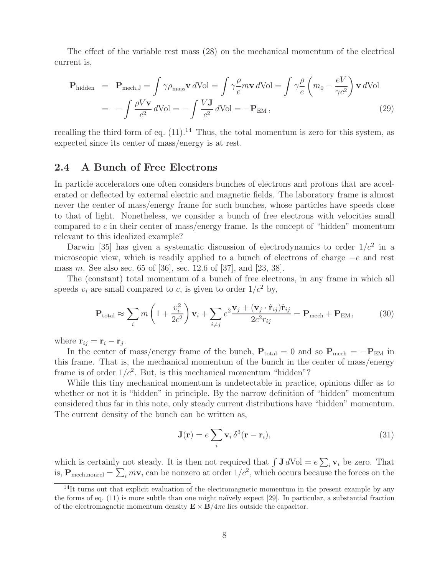The effect of the variable rest mass (28) on the mechanical momentum of the electrical current is,

$$
\mathbf{P}_{\text{hidden}} = \mathbf{P}_{\text{mech},\text{J}} = \int \gamma \rho_{\text{mass}} \mathbf{v} \, d\text{Vol} = \int \gamma \frac{\rho}{e} m \mathbf{v} \, d\text{Vol} = \int \gamma \frac{\rho}{e} \left( m_0 - \frac{eV}{\gamma c^2} \right) \mathbf{v} \, d\text{Vol}
$$

$$
= - \int \frac{\rho V \mathbf{v}}{c^2} \, d\text{Vol} = - \int \frac{V \mathbf{J}}{c^2} \, d\text{Vol} = - \mathbf{P}_{\text{EM}} \,, \tag{29}
$$

recalling the third form of eq.  $(11).14$  Thus, the total momentum is zero for this system, as expected since its center of mass/energy is at rest.

#### **2.4 A Bunch of Free Electrons**

In particle accelerators one often considers bunches of electrons and protons that are accelerated or deflected by external electric and magnetic fields. The laboratory frame is almost never the center of mass/energy frame for such bunches, whose particles have speeds close to that of light. Nonetheless, we consider a bunch of free electrons with velocities small compared to c in their center of mass/energy frame. Is the concept of "hidden" momentum relevant to this idealized example?

Darwin [35] has given a systematic discussion of electrodynamics to order  $1/c^2$  in a microscopic view, which is readily applied to a bunch of electrons of charge <sup>−</sup><sup>e</sup> and rest mass m. See also sec. 65 of [36], sec. 12.6 of [37], and [23, 38].

The (constant) total momentum of a bunch of free electrons, in any frame in which all speeds  $v_i$  are small compared to c, is given to order  $1/c^2$  by,

$$
\mathbf{P}_{\text{total}} \approx \sum_{i} m \left( 1 + \frac{v_i^2}{2c^2} \right) \mathbf{v}_i + \sum_{i \neq j} e^2 \frac{\mathbf{v}_j + (\mathbf{v}_j \cdot \hat{\mathbf{r}}_{ij}) \hat{\mathbf{r}}_{ij}}{2c^2 r_{ij}} = \mathbf{P}_{\text{mech}} + \mathbf{P}_{\text{EM}}, \tag{30}
$$

where  $\mathbf{r}_{ij} = \mathbf{r}_i - \mathbf{r}_j$ .

In the center of mass/energy frame of the bunch,  $P_{total} = 0$  and so  $P_{mech} = -P_{EM}$  in this frame. That is, the mechanical momentum of the bunch in the center of mass/energy frame is of order  $1/c^2$ . But, is this mechanical momentum "hidden"?

While this tiny mechanical momentum is undetectable in practice, opinions differ as to whether or not it is "hidden" in principle. By the narrow definition of "hidden" momentum considered thus far in this note, only steady current distributions have "hidden" momentum. The current density of the bunch can be written as,

$$
\mathbf{J}(\mathbf{r}) = e \sum_{i} \mathbf{v}_i \,\delta^3(\mathbf{r} - \mathbf{r}_i),\tag{31}
$$

which is certainly not steady. It is then not required that  $\int \mathbf{J} dVol = e \sum_i \mathbf{v}_i$  be zero. That is,  $P_{\text{mech, nonrel}} = \sum_i m \mathbf{v}_i$  can be nonzero at order  $1/c^2$ , which occurs because the forces on the

 $14$ It turns out that explicit evaluation of the electromagnetic momentum in the present example by any the forms of eq.  $(11)$  is more subtle than one might naïvely expect [29]. In particular, a substantial fraction of the electromagnetic momentum density  $\mathbf{E} \times \mathbf{B}/4\pi c$  lies outside the capacitor.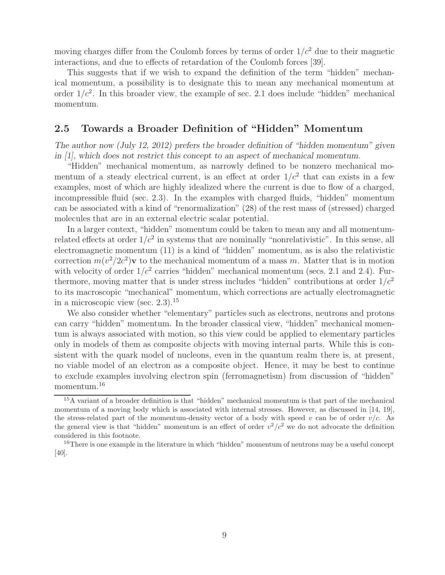moving charges differ from the Coulomb forces by terms of order  $1/c^2$  due to their magnetic interactions, and due to effects of retardation of the Coulomb forces [39].

This suggests that if we wish to expand the definition of the term "hidden" mechanical momentum, a possibility is to designate this to mean any mechanical momentum at order  $1/c^2$ . In this broader view, the example of sec. 2.1 does include "hidden" mechanical momentum.

#### **2.5 Towards a Broader Definition of "Hidden" Momentum**

*The author now (July 12, 2012) prefers the broader definition of "hidden momentum" given in [1], which does not restrict this concept to an aspect of mechanical momentum.*

"Hidden" mechanical momentum, as narrowly defined to be nonzero mechanical momentum of a steady electrical current, is an effect at order  $1/c^2$  that can exists in a few examples, most of which are highly idealized where the current is due to flow of a charged, incompressible fluid (sec. 2.3). In the examples with charged fluids, "hidden" momentum can be associated with a kind of "renormalization" (28) of the rest mass of (stressed) charged molecules that are in an external electric scalar potential.

In a larger context, "hidden" momentum could be taken to mean any and all momentumrelated effects at order  $1/c^2$  in systems that are nominally "nonrelativistic". In this sense, all electromagnetic momentum (11) is a kind of "hidden" momentum, as is also the relativistic correction  $m(v^2/2c^2)$ **v** to the mechanical momentum of a mass m. Matter that is in motion with velocity of order  $1/c^2$  carries "hidden" mechanical momentum (secs. 2.1 and 2.4). Furthermore, moving matter that is under stress includes "hidden" contributions at order  $1/c<sup>2</sup>$ to its macroscopic "mechanical" momentum, which corrections are actually electromagnetic in a microscopic view (sec.  $2.3$ ).<sup>15</sup>

We also consider whether "elementary" particles such as electrons, neutrons and protons can carry "hidden" momentum. In the broader classical view, "hidden" mechanical momentum is always associated with motion, so this view could be applied to elementary particles only in models of them as composite objects with moving internal parts. While this is consistent with the quark model of nucleons, even in the quantum realm there is, at present, no viable model of an electron as a composite object. Hence, it may be best to continue to exclude examples involving electron spin (ferromagnetism) from discussion of "hidden" momentum.<sup>16</sup>

<sup>15</sup>A variant of a broader definition is that "hidden" mechanical momentum is that part of the mechanical momentum of a moving body which is associated with internal stresses. However, as discussed in [14, 19], the stress-related part of the momentum-density vector of a body with speed v can be of order  $v/c$ . As the general view is that "hidden" momentum is an effect of order  $v^2/c^2$  we do not advocate the definition considered in this footnote.

<sup>&</sup>lt;sup>16</sup>There is one example in the literature in which "hidden" momentum of neutrons may be a useful concept [40].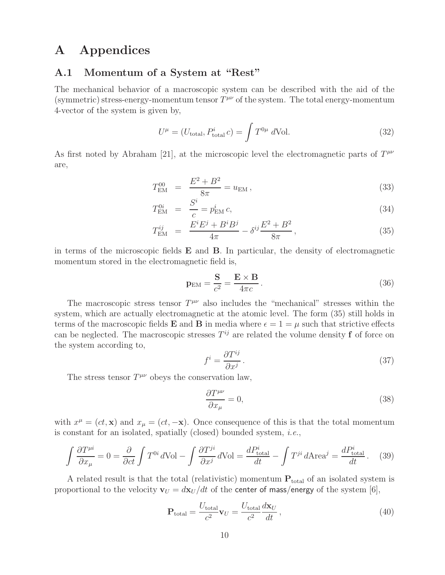## **A Appendices**

#### **A.1 Momentum of a System at "Rest"**

The mechanical behavior of a macroscopic system can be described with the aid of the (symmetric) stress-energy-momentum tensor  $T^{\mu\nu}$  of the system. The total energy-momentum 4-vector of the system is given by,

$$
U^{\mu} = (U_{\text{total}}, P_{\text{total}}^{i} c) = \int T^{0\mu} d\text{Vol}.
$$
 (32)

As first noted by Abraham [21], at the microscopic level the electromagnetic parts of  $T^{\mu\nu}$ are,

$$
T_{\rm EM}^{00} = \frac{E^2 + B^2}{8\pi} = u_{\rm EM},
$$
\n(33)

$$
T_{\rm EM}^{0i} = \frac{S^i}{c} = p_{\rm EM}^i c,
$$
\n(34)

$$
T_{\rm EM}^{ij} = \frac{E^i E^j + B^i B^j}{4\pi} - \delta^{ij} \frac{E^2 + B^2}{8\pi}, \qquad (35)
$$

in terms of the microscopic fields **E** and **B**. In particular, the density of electromagnetic momentum stored in the electromagnetic field is,

$$
\mathbf{p}_{\rm EM} = \frac{\mathbf{S}}{c^2} = \frac{\mathbf{E} \times \mathbf{B}}{4\pi c}.
$$
 (36)

The macroscopic stress tensor  $T^{\mu\nu}$  also includes the "mechanical" stresses within the system, which are actually electromagnetic at the atomic level. The form (35) still holds in terms of the macroscopic fields **E** and **B** in media where  $\epsilon = 1 = \mu$  such that strictive effects can be neglected. The macroscopic stresses  $T^{ij}$  are related the volume density **f** of force on the system according to,

$$
f^i = \frac{\partial T^{ij}}{\partial x^j} \,. \tag{37}
$$

The stress tensor  $T^{\mu\nu}$  obeys the conservation law,

$$
\frac{\partial T^{\mu\nu}}{\partial x_{\mu}} = 0,\t\t(38)
$$

with  $x^{\mu} = (ct, \mathbf{x})$  and  $x_{\mu} = (ct, -\mathbf{x})$ . Once consequence of this is that the total momentum is constant for an isolated, spatially (closed) bounded system, *i.e.*,

$$
\int \frac{\partial T^{\mu i}}{\partial x_{\mu}} = 0 = \frac{\partial}{\partial ct} \int T^{0i} d\text{Vol} - \int \frac{\partial T^{ji}}{\partial x^{j}} d\text{Vol} = \frac{dP_{\text{total}}^{i}}{dt} - \int T^{ji} d\text{Area}^{j} = \frac{dP_{\text{total}}^{i}}{dt}. \tag{39}
$$

A related result is that the total (relativistic) momentum **P**total of an isolated system is proportional to the velocity  $\mathbf{v}_U = d\mathbf{x}_U / dt$  of the center of mass/energy of the system [6],

$$
\mathbf{P}_{\text{total}} = \frac{U_{\text{total}}}{c^2} \mathbf{v}_U = \frac{U_{\text{total}}}{c^2} \frac{d\mathbf{x}_U}{dt},\tag{40}
$$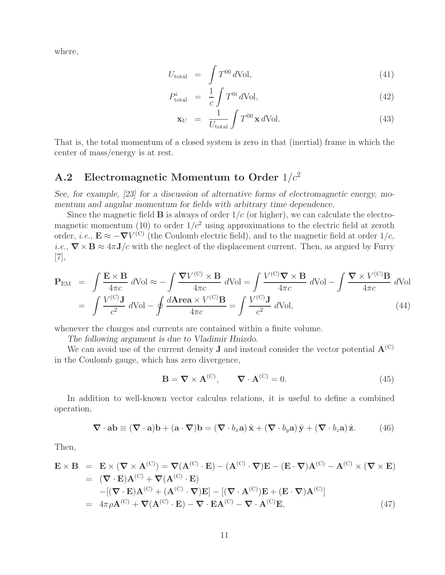where,

$$
U_{\text{total}} = \int T^{00} \, d\text{Vol}, \tag{41}
$$

$$
P_{\text{total}}^i = \frac{1}{c} \int T^{0i} d\text{Vol}, \qquad (42)
$$

$$
\mathbf{x}_U = \frac{1}{U_{\text{total}}} \int T^{00} \mathbf{x} \, d\text{Vol.} \tag{43}
$$

That is, the total momentum of a closed system is zero in that (inertial) frame in which the center of mass/energy is at rest.

## **A.2 Electromagnetic Momentum to Order** 1/c<sup>2</sup>

*See, for example, [23] for a discussion of alternative forms of electromagnetic energy, momentum and angular momentum for fields with arbitrary time dependence.*

Since the magnetic field  $\bf{B}$  is always of order  $1/c$  (or higher), we can calculate the electromagnetic momentum (10) to order  $1/c^2$  using approximations to the electric field at zeroth order, *i.e.*,  $\mathbf{E} \approx -\nabla V^{(C)}$  (the Coulomb electric field), and to the magnetic field at order  $1/c$ , *i.e.*,  $\nabla \times \mathbf{B} \approx 4\pi \mathbf{J}/c$  with the neglect of the displacement current. Then, as argued by Furry [7],

$$
\mathbf{P}_{\text{EM}} = \int \frac{\mathbf{E} \times \mathbf{B}}{4\pi c} d\text{Vol} \approx -\int \frac{\nabla V^{(\text{C})} \times \mathbf{B}}{4\pi c} d\text{Vol} = \int \frac{V^{(\text{C})}\nabla \times \mathbf{B}}{4\pi c} d\text{Vol} - \int \frac{\nabla \times V^{(\text{C})}\mathbf{B}}{4\pi c} d\text{Vol}
$$

$$
= \int \frac{V^{(\text{C})}\mathbf{J}}{c^2} d\text{Vol} - \oint \frac{d\text{Area} \times V^{(\text{C})}\mathbf{B}}{4\pi c} = \int \frac{V^{(\text{C})}\mathbf{J}}{c^2} d\text{Vol}, \tag{44}
$$

whenever the charges and currents are contained within a finite volume.

*The following argument is due to Vladimir Hnizdo.*

We can avoid use of the current density **J** and instead consider the vector potential  $\mathbf{A}^{(C)}$ in the Coulomb gauge, which has zero divergence,

$$
\mathbf{B} = \nabla \times \mathbf{A}^{(C)}, \qquad \nabla \cdot \mathbf{A}^{(C)} = 0.
$$
 (45)

In addition to well-known vector calculus relations, it is useful to define a combined operation,

$$
\nabla \cdot \mathbf{a} \mathbf{b} \equiv (\nabla \cdot \mathbf{a}) \mathbf{b} + (\mathbf{a} \cdot \nabla) \mathbf{b} = (\nabla \cdot b_x \mathbf{a}) \hat{\mathbf{x}} + (\nabla \cdot b_y \mathbf{a}) \hat{\mathbf{y}} + (\nabla \cdot b_z \mathbf{a}) \hat{\mathbf{z}}.
$$
 (46)

Then,

$$
\mathbf{E} \times \mathbf{B} = \mathbf{E} \times (\nabla \times \mathbf{A}^{(C)}) = \nabla (\mathbf{A}^{(C)} \cdot \mathbf{E}) - (\mathbf{A}^{(C)} \cdot \nabla) \mathbf{E} - (\mathbf{E} \cdot \nabla) \mathbf{A}^{(C)} - \mathbf{A}^{(C)} \times (\nabla \times \mathbf{E})
$$
  
\n
$$
= (\nabla \cdot \mathbf{E}) \mathbf{A}^{(C)} + \nabla (\mathbf{A}^{(C)} \cdot \mathbf{E})
$$
  
\n
$$
- [(\nabla \cdot \mathbf{E}) \mathbf{A}^{(C)} + (\mathbf{A}^{(C)} \cdot \nabla) \mathbf{E}] - [(\nabla \cdot \mathbf{A}^{(C)}) \mathbf{E} + (\mathbf{E} \cdot \nabla) \mathbf{A}^{(C)}]
$$
  
\n
$$
= 4\pi \rho \mathbf{A}^{(C)} + \nabla (\mathbf{A}^{(C)} \cdot \mathbf{E}) - \nabla \cdot \mathbf{E} \mathbf{A}^{(C)} - \nabla \cdot \mathbf{A}^{(C)} \mathbf{E},
$$
 (47)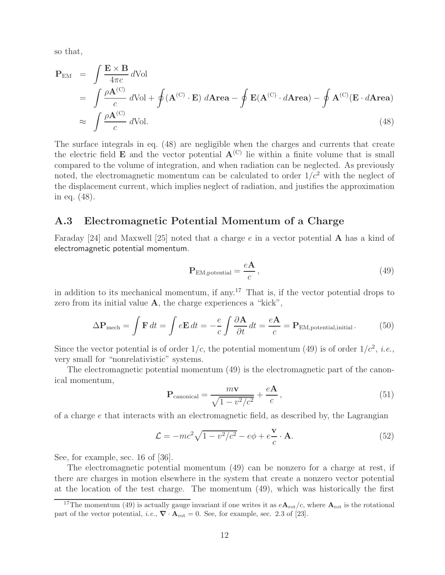so that,

$$
\mathbf{P}_{\text{EM}} = \int \frac{\mathbf{E} \times \mathbf{B}}{4\pi c} d\text{Vol}
$$
\n
$$
= \int \frac{\rho \mathbf{A}^{(C)}}{c} d\text{Vol} + \oint (\mathbf{A}^{(C)} \cdot \mathbf{E}) d\text{Area} - \oint \mathbf{E}(\mathbf{A}^{(C)} \cdot d\text{Area}) - \oint \mathbf{A}^{(C)}(\mathbf{E} \cdot d\text{Area})
$$
\n
$$
\approx \int \frac{\rho \mathbf{A}^{(C)}}{c} d\text{Vol}. \tag{48}
$$

The surface integrals in eq. (48) are negligible when the charges and currents that create the electric field **E** and the vector potential  $A^{(C)}$  lie within a finite volume that is small compared to the volume of integration, and when radiation can be neglected. As previously noted, the electromagnetic momentum can be calculated to order  $1/c^2$  with the neglect of the displacement current, which implies neglect of radiation, and justifies the approximation in eq. (48).

#### **A.3 Electromagnetic Potential Momentum of a Charge**

Faraday [24] and Maxwell [25] noted that a charge e in a vector potential **A** has a kind of electromagnetic potential momentum.

$$
\mathbf{P}_{\text{EM,potential}} = \frac{e\mathbf{A}}{c},\tag{49}
$$

in addition to its mechanical momentum, if any.<sup>17</sup> That is, if the vector potential drops to zero from its initial value **A**, the charge experiences a "kick",

$$
\Delta \mathbf{P}_{\text{mech}} = \int \mathbf{F} \, dt = \int e \mathbf{E} \, dt = -\frac{e}{c} \int \frac{\partial \mathbf{A}}{\partial t} \, dt = \frac{e \mathbf{A}}{c} = \mathbf{P}_{\text{EM},\text{potential},\text{initial}}.
$$
 (50)

Since the vector potential is of order  $1/c$ , the potential momentum (49) is of order  $1/c^2$ , *i.e.*, very small for "nonrelativistic" systems.

The electromagnetic potential momentum (49) is the electromagnetic part of the canonical momentum,

$$
\mathbf{P}_{\text{canonical}} = \frac{m\mathbf{v}}{\sqrt{1 - v^2/c^2}} + \frac{e\mathbf{A}}{c},\tag{51}
$$

of a charge  $e$  that interacts with an electromagnetic field, as described by, the Lagrangian

$$
\mathcal{L} = -mc^2\sqrt{1 - v^2/c^2} - e\phi + e\frac{\mathbf{v}}{c} \cdot \mathbf{A}.
$$
 (52)

See, for example, sec. 16 of  $|36|$ .

The electromagnetic potential momentum (49) can be nonzero for a charge at rest, if there are charges in motion elsewhere in the system that create a nonzero vector potential at the location of the test charge. The momentum (49), which was historically the first

<sup>&</sup>lt;sup>17</sup>The momentum (49) is actually gauge invariant if one writes it as  $e\mathbf{A}_{\text{rot}}/c$ , where  $\mathbf{A}_{\text{rot}}$  is the rotational part of the vector potential, *i.e.*,  $\nabla \cdot \mathbf{A}_{\text{rot}} = 0$ . See, for example, sec. 2.3 of [23].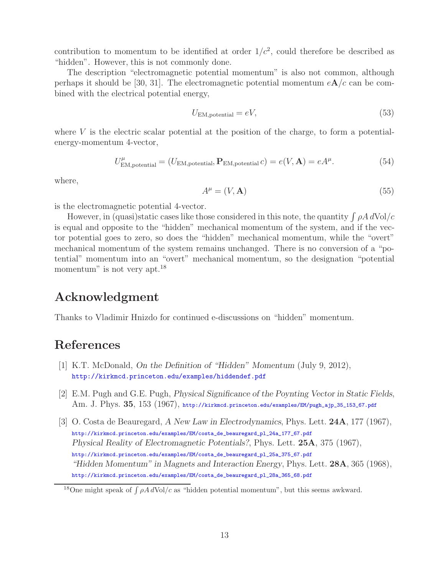contribution to momentum to be identified at order  $1/c^2$ , could therefore be described as "hidden". However, this is not commonly done.

The description "electromagnetic potential momentum" is also not common, although perhaps it should be [30, 31]. The electromagnetic potential momentum  $eA/c$  can be combined with the electrical potential energy,

$$
U_{\text{EM},\text{potential}} = eV,\tag{53}
$$

where  $V$  is the electric scalar potential at the position of the charge, to form a potentialenergy-momentum 4-vector,

$$
U^{\mu}_{\text{EM},\text{potential}} = (U_{\text{EM},\text{potential}}, \mathbf{P}_{\text{EM},\text{potential}} c) = e(V, \mathbf{A}) = eA^{\mu}.
$$
 (54)

where,

$$
A^{\mu} = (V, \mathbf{A}) \tag{55}
$$

is the electromagnetic potential 4-vector.

However, in (quasi)static cases like those considered in this note, the quantity  $\int \rho A dVol/c$ is equal and opposite to the "hidden" mechanical momentum of the system, and if the vector potential goes to zero, so does the "hidden" mechanical momentum, while the "overt" mechanical momentum of the system remains unchanged. There is no conversion of a "potential" momentum into an "overt" mechanical momentum, so the designation "potential momentum" is not very apt.<sup>18</sup>

## **Acknowledgment**

Thanks to Vladimir Hnizdo for continued e-discussions on "hidden" momentum.

## **References**

- [1] K.T. McDonald, *On the Definition of "Hidden" Momentum* (July 9, 2012), http://kirkmcd.princeton.edu/examples/hiddendef.pdf
- [2] E.M. Pugh and G.E. Pugh, *Physical Significance of the Poynting Vector in Static Fields*, Am. J. Phys. **35**, 153 (1967), http://kirkmcd.princeton.edu/examples/EM/pugh\_ajp\_35\_153\_67.pdf
- [3] O. Costa de Beauregard, *A New Law in Electrodynamics*, Phys. Lett. **24A**, 177 (1967), http://kirkmcd.princeton.edu/examples/EM/costa\_de\_beauregard\_pl\_24a\_177\_67.pdf *Physical Reality of Electromagnetic Potentials?*, Phys. Lett. **25A**, 375 (1967), http://kirkmcd.princeton.edu/examples/EM/costa\_de\_beauregard\_pl\_25a\_375\_67.pdf *"Hidden Momentum" in Magnets and Interaction Energy*, Phys. Lett. **28A**, 365 (1968), http://kirkmcd.princeton.edu/examples/EM/costa\_de\_beauregard\_pl\_28a\_365\_68.pdf

<sup>&</sup>lt;sup>18</sup>One might speak of  $\int \rho A dVol/c$  as "hidden potential momentum", but this seems awkward.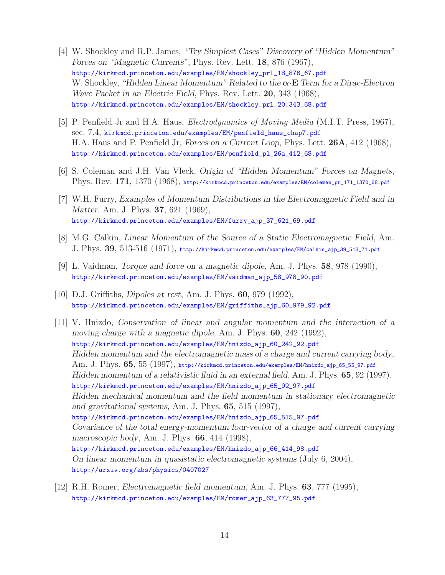- [4] W. Shockley and R.P. James, *"Try Simplest Cases" Discovery of "Hidden Momentum" Forces on "Magnetic Currents"*, Phys. Rev. Lett. **18**, 876 (1967), http://kirkmcd.princeton.edu/examples/EM/shockley\_prl\_18\_876\_67.pdf W. Shockley, *"Hidden Linear Momentum" Related to the α*·**E** *Term for a Dirac-Electron Wave Packet in an Electric Field*, Phys. Rev. Lett. **20**, 343 (1968), http://kirkmcd.princeton.edu/examples/EM/shockley\_prl\_20\_343\_68.pdf
- [5] P. Penfield Jr and H.A. Haus, *Electrodynamics of Moving Media* (M.I.T. Press, 1967), sec. 7.4, kirkmcd.princeton.edu/examples/EM/penfield\_haus\_chap7.pdf H.A. Haus and P. Penfield Jr, *Forces on a Current Loop*, Phys. Lett. **26A**, 412 (1968), http://kirkmcd.princeton.edu/examples/EM/penfield\_pl\_26a\_412\_68.pdf
- [6] S. Coleman and J.H. Van Vleck, *Origin of "Hidden Momentum" Forces on Magnets*, Phys. Rev. **171**, 1370 (1968), http://kirkmcd.princeton.edu/examples/EM/coleman\_pr\_171\_1370\_68.pdf
- [7] W.H. Furry, *Examples of Momentum Distributions in the Electromagnetic Field and in Matter*, Am. J. Phys. **37**, 621 (1969), http://kirkmcd.princeton.edu/examples/EM/furry\_ajp\_37\_621\_69.pdf
- [8] M.G. Calkin, *Linear Momentum of the Source of a Static Electromagnetic Field*, Am. J. Phys. **39**, 513-516 (1971), http://kirkmcd.princeton.edu/examples/EM/calkin\_ajp\_39\_513\_71.pdf
- [9] L. Vaidman, *Torque and force on a magnetic dipole*, Am. J. Phys. **58**, 978 (1990), http://kirkmcd.princeton.edu/examples/EM/vaidman\_ajp\_58\_978\_90.pdf
- [10] D.J. Griffiths, *Dipoles at rest*, Am. J. Phys. **60**, 979 (1992), http://kirkmcd.princeton.edu/examples/EM/griffiths\_ajp\_60\_979\_92.pdf
- [11] V. Hnizdo, *Conservation of linear and angular momentum and the interaction of a moving charge with a magnetic dipole*, Am. J. Phys. **60**, 242 (1992), http://kirkmcd.princeton.edu/examples/EM/hnizdo\_ajp\_60\_242\_92.pdf *Hidden momentum and the electromagnetic mass of a charge and current carrying body*, Am. J. Phys. **65**, 55 (1997), http://kirkmcd.princeton.edu/examples/EM/hnizdo\_ajp\_65\_55\_97.pdf *Hidden momentum of a relativistic fluid in an external field*, Am. J. Phys. **65**, 92 (1997), http://kirkmcd.princeton.edu/examples/EM/hnizdo\_ajp\_65\_92\_97.pdf *Hidden mechanical momentum and the field momentum in stationary electromagnetic and gravitational systems*, Am. J. Phys. **65**, 515 (1997), http://kirkmcd.princeton.edu/examples/EM/hnizdo\_ajp\_65\_515\_97.pdf *Covariance of the total energy-momentum four-vector of a charge and current carrying macroscopic body*, Am. J. Phys. **66**, 414 (1998), http://kirkmcd.princeton.edu/examples/EM/hnizdo\_ajp\_66\_414\_98.pdf *On linear momentum in quasistatic electromagnetic systems* (July 6, 2004), http://arxiv.org/abs/physics/0407027
- [12] R.H. Romer, *Electromagnetic field momentum*, Am. J. Phys. **63**, 777 (1995), http://kirkmcd.princeton.edu/examples/EM/romer\_ajp\_63\_777\_95.pdf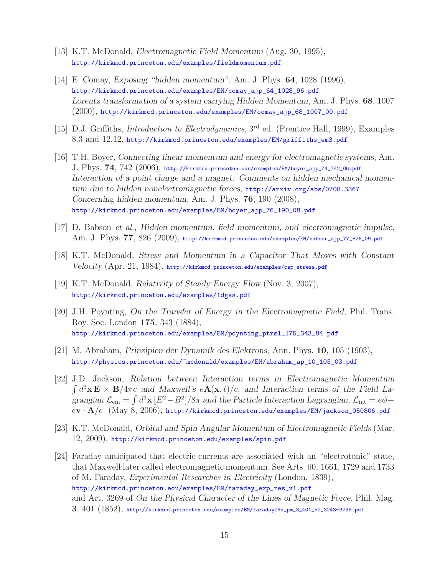- [13] K.T. McDonald, *Electromagnetic Field Momentum* (Aug. 30, 1995), http://kirkmcd.princeton.edu/examples/fieldmomentum.pdf
- [14] E. Comay, *Exposing "hidden momentum"*, Am. J. Phys. **64**, 1028 (1996), http://kirkmcd.princeton.edu/examples/EM/comay\_ajp\_64\_1028\_96.pdf *Lorentz transformation of a system carrying Hidden Momentum*, Am. J. Phys. **68**, 1007 (2000), http://kirkmcd.princeton.edu/examples/EM/comay\_ajp\_68\_1007\_00.pdf
- [15] D.J. Griffiths, *Introduction to Electrodynamics*, 3rd ed. (Prentice Hall, 1999), Examples 8.3 and 12.12, http://kirkmcd.princeton.edu/examples/EM/griffiths\_em3.pdf
- [16] T.H. Boyer, *Connecting linear momentum and energy for electromagnetic systems*, Am. J. Phys. **74**, 742 (2006), http://kirkmcd.princeton.edu/examples/EM/boyer\_ajp\_74\_742\_06.pdf *Interaction of a point charge and a magnet: Comments on hidden mechanical momentum due to hidden nonelectromagnetic forces*, http://arxiv.org/abs/0708.3367 *Concerning hidden momentum*, Am. J. Phys. **76**, 190 (2008), http://kirkmcd.princeton.edu/examples/EM/boyer\_ajp\_76\_190\_08.pdf
- [17] D. Babson *et al.*, *Hidden momentum, field momentum, and electromagnetic impulse*, Am. J. Phys. **77**, 826 (2009), http://kirkmcd.princeton.edu/examples/EM/babson\_ajp\_77\_826\_09.pdf
- [18] K.T. McDonald, *Stress and Momentum in a Capacitor That Moves with Constant Velocity* (Apr. 21, 1984), http://kirkmcd.princeton.edu/examples/cap\_stress.pdf
- [19] K.T. McDonald, *Relativity of Steady Energy Flow* (Nov. 3, 2007), http://kirkmcd.princeton.edu/examples/1dgas.pdf
- [20] J.H. Poynting, *On the Transfer of Energy in the Electromagnetic Field*, Phil. Trans. Roy. Soc. London **175**, 343 (1884), http://kirkmcd.princeton.edu/examples/EM/poynting\_ptrsl\_175\_343\_84.pdf
- [21] M. Abraham, *Prinzipien der Dynamik des Elektrons*, Ann. Phys. **10**, 105 (1903), http://physics.princeton.edu/~mcdonald/examples/EM/abraham\_ap\_10\_105\_03.pdf
- [22] J.D. Jackson, *Relation between Interaction terms in Electromagnetic Momentum*  $\int d^3x \mathbf{E} \times \mathbf{B}/4\pi c$  and Maxwell's  $e\mathbf{A}(\mathbf{x},t)/c$ , and Interaction terms of the Field Lagrangian  $\mathcal{L}_{em} = \int d^3x \, [E^2 - B^2]/8\pi$  and the Particle Interaction Lagrangian,  $\mathcal{L}_{int} = e\phi$ <sup>e</sup>**<sup>v</sup>** · **<sup>A</sup>**/c (May 8, 2006), http://kirkmcd.princeton.edu/examples/EM/jackson\_050806.pdf
- [23] K.T. McDonald, *Orbital and Spin Angular Momentum of Electromagnetic Fields* (Mar. 12, 2009), http://kirkmcd.princeton.edu/examples/spin.pdf
- [24] Faraday anticipated that electric currents are associated with an "electrotonic" state, that Maxwell later called electromagnetic momentum. See Arts. 60, 1661, 1729 and 1733 of M. Faraday, *Experimental Researches in Electricity* (London, 1839), http://kirkmcd.princeton.edu/examples/EM/faraday\_exp\_res\_v1.pdf and Art. 3269 of *On the Physical Character of the Lines of Magnetic Force*, Phil. Mag. **3**, 401 (1852), http://kirkmcd.princeton.edu/examples/EM/faraday29a\_pm\_3\_401\_52\_3243-3299.pdf